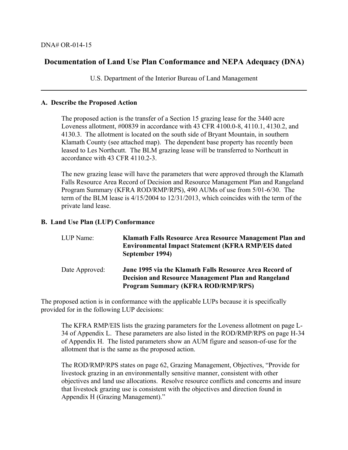## **Documentation of Land Use Plan Conformance and NEPA Adequacy (DNA)**

U.S. Department of the Interior Bureau of Land Management

#### **A. Describe the Proposed Action**

The proposed action is the transfer of a Section 15 grazing lease for the 3440 acre Loveness allotment, #00839 in accordance with 43 CFR 4100.0-8, 4110.1, 4130.2, and 4130.3. The allotment is located on the south side of Bryant Mountain, in southern Klamath County (see attached map). The dependent base property has recently been leased to Les Northcutt. The BLM grazing lease will be transferred to Northcutt in accordance with 43 CFR 4110.2-3.

The new grazing lease will have the parameters that were approved through the Klamath Falls Resource Area Record of Decision and Resource Management Plan and Rangeland Program Summary (KFRA ROD/RMP/RPS), 490 AUMs of use from 5/01-6/30. The term of the BLM lease is 4/15/2004 to 12/31/2013, which coincides with the term of the private land lease.

#### **B. Land Use Plan (LUP) Conformance**

| LUP Name:      | Klamath Falls Resource Area Resource Management Plan and<br><b>Environmental Impact Statement (KFRA RMP/EIS dated)</b><br>September 1994)                          |
|----------------|--------------------------------------------------------------------------------------------------------------------------------------------------------------------|
| Date Approved: | June 1995 via the Klamath Falls Resource Area Record of<br><b>Decision and Resource Management Plan and Rangeland</b><br><b>Program Summary (KFRA ROD/RMP/RPS)</b> |

The proposed action is in conformance with the applicable LUPs because it is specifically provided for in the following LUP decisions:

The KFRA RMP/EIS lists the grazing parameters for the Loveness allotment on page L-34 of Appendix L. These parameters are also listed in the ROD/RMP/RPS on page H-34 of Appendix H. The listed parameters show an AUM figure and season-of-use for the allotment that is the same as the proposed action.

The ROD/RMP/RPS states on page 62, Grazing Management, Objectives, "Provide for livestock grazing in an environmentally sensitive manner, consistent with other objectives and land use allocations. Resolve resource conflicts and concerns and insure that livestock grazing use is consistent with the objectives and direction found in Appendix H (Grazing Management)."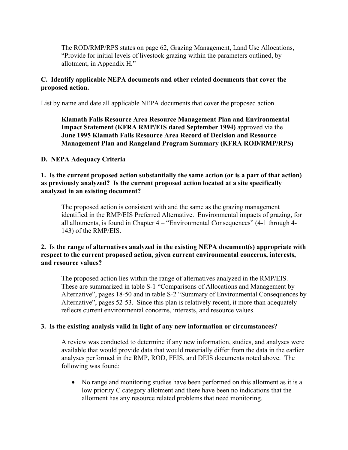The ROD/RMP/RPS states on page 62, Grazing Management, Land Use Allocations, "Provide for initial levels of livestock grazing within the parameters outlined, by allotment, in Appendix H*.*"

#### **C. Identify applicable NEPA documents and other related documents that cover the proposed action.**

List by name and date all applicable NEPA documents that cover the proposed action.

### **Klamath Falls Resource Area Resource Management Plan and Environmental Impact Statement (KFRA RMP/EIS dated September 1994)** approved via the **June 1995 Klamath Falls Resource Area Record of Decision and Resource Management Plan and Rangeland Program Summary (KFRA ROD/RMP/RPS)**

#### **D. NEPA Adequacy Criteria**

#### **1. Is the current proposed action substantially the same action (or is a part of that action) as previously analyzed? Is the current proposed action located at a site specifically analyzed in an existing document?**

 The proposed action is consistent with and the same as the grazing management identified in the RMP/EIS Preferred Alternative. Environmental impacts of grazing, for all allotments, is found in Chapter 4 – "Environmental Consequences" (4-1 through 4- 143) of the RMP/EIS.

#### **2. Is the range of alternatives analyzed in the existing NEPA document(s) appropriate with respect to the current proposed action, given current environmental concerns, interests, and resource values?**

The proposed action lies within the range of alternatives analyzed in the RMP/EIS. These are summarized in table S-1 "Comparisons of Allocations and Management by Alternative", pages 18-50 and in table S-2 "Summary of Environmental Consequences by Alternative", pages 52-53. Since this plan is relatively recent, it more than adequately reflects current environmental concerns, interests, and resource values.

#### **3. Is the existing analysis valid in light of any new information or circumstances?**

A review was conducted to determine if any new information, studies, and analyses were available that would provide data that would materially differ from the data in the earlier analyses performed in the RMP, ROD, FEIS, and DEIS documents noted above. The following was found:

• No rangeland monitoring studies have been performed on this allotment as it is a low priority C category allotment and there have been no indications that the allotment has any resource related problems that need monitoring.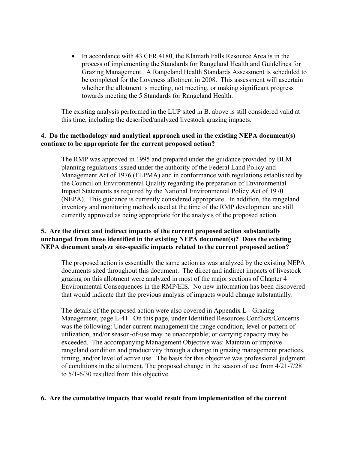• In accordance with 43 CFR 4180, the Klamath Falls Resource Area is in the process of implementing the Standards for Rangeland Health and Guidelines for Grazing Management. A Rangeland Health Standards Assessment is scheduled to be completed for the Loveness allotment in 2008. This assessment will ascertain whether the allotment is meeting, not meeting, or making significant progress towards meeting the 5 Standards for Rangeland Health.

The existing analysis performed in the LUP sited in B. above is still considered valid at this time, including the described/analyzed livestock grazing impacts.

## **4. Do the methodology and analytical approach used in the existing NEPA document(s) continue to be appropriate for the current proposed action?**

The RMP was approved in 1995 and prepared under the guidance provided by BLM planning regulations issued under the authority of the Federal Land Policy and Management Act of 1976 (FLPMA) and in conformance with regulations established by the Council on Environmental Quality regarding the preparation of Environmental Impact Statements as required by the National Environmental Policy Act of 1970 (NEPA). This guidance is currently considered appropriate. In addition, the rangeland inventory and monitoring methods used at the time of the RMP development are still currently approved as being appropriate for the analysis of the proposed action.

## **5. Are the direct and indirect impacts of the current proposed action substantially unchanged from those identified in the existing NEPA document(s)? Does the existing NEPA document analyze site-specific impacts related to the current proposed action?**

The proposed action is essentially the same action as was analyzed by the existing NEPA documents sited throughout this document. The direct and indirect impacts of livestock grazing on this allotment were analyzed in most of the major sections of Chapter 4 – Environmental Consequences in the RMP/EIS. No new information has been discovered that would indicate that the previous analysis of impacts would change substantially.

The details of the proposed action were also covered in Appendix L - Grazing Management, page L-41. On this page, under Identified Resources Conflicts/Concerns was the following: Under current management the range condition, level or pattern of utilization, and/or season-of-use may be unacceptable; or carrying capacity may be exceeded. The accompanying Management Objective was: Maintain or improve rangeland condition and productivity through a change in grazing management practices, timing, and/or level of active use. The basis for this objective was professional judgment of conditions in the allotment. The proposed change in the season of use from 4/21-7/28 to 5/1-6/30 resulted from this objective.

#### **6. Are the cumulative impacts that would result from implementation of the current**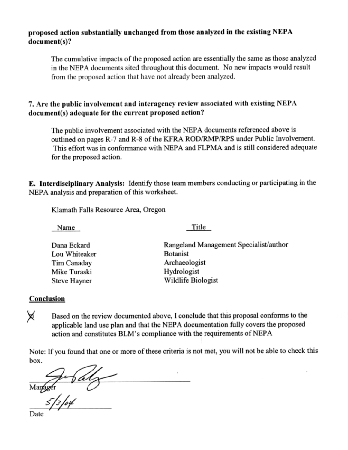## proposed action substantially unchanged from those analyzed in the existing NEPA document(s)?

The cumulative impacts of the proposed action are essentially the same as those analyzed in the NEPA documents sited throughout this document. No new impacts would result from the proposed action that have not already been analyzed.

# 7. Are the public involvement and interagency review associated with existing NEPA document(s) adequate for the current proposed action?

The public involvement associated with the NEPA documents referenced above is outlined on pages R-7 and R-8 of the KFRA ROD/RMP/RPS under Public Involvement. This effort was in conformance with NEPA and FLPMA and is still considered adequate for the proposed action.

**E.** Interdisciplinary Analysis: Identify those team members conducting or participating in the NEPA analysis and preparation of this worksheet.

Klamath Falls Resource Area, Oregon

Name

Title

| Dana Eckard   | Rangeland Management Specialist/author |
|---------------|----------------------------------------|
| Lou Whiteaker | <b>Botanist</b>                        |
| Tim Canaday   | Archaeologist                          |
| Mike Turaski  | Hydrologist                            |
| Steve Hayner  | Wildlife Biologist                     |

## Conclusion

Х Based on the review documented above, I conclude that this proposal conforms to the applicable land use plan and that the NEPA documentation fully covers the proposed action and constitutes BLM's compliance with the requirements of NEPA

Note: If you found that one or more of these criteria is not met, you will not be able to check this box.

 $\frac{1}{86}$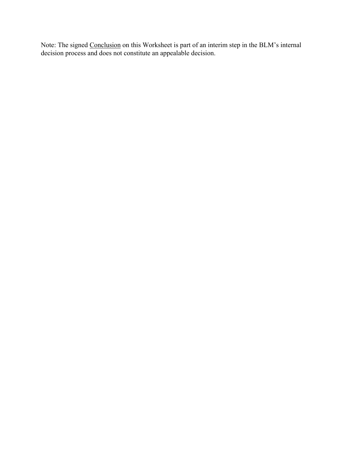Note: The signed Conclusion on this Worksheet is part of an interim step in the BLM's internal decision process and does not constitute an appealable decision.